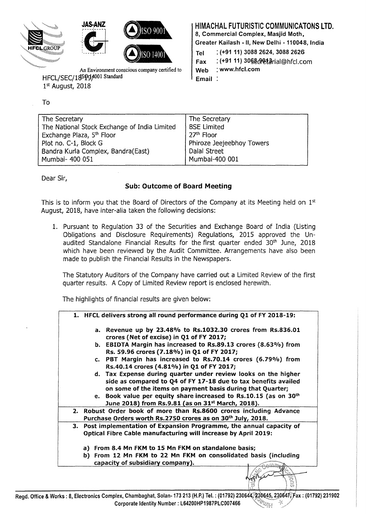

An Environment conscious company certified to HFCL/SEC/18SQg4001 Standard 1st August, 2018

## To

# HIMACHAL FUTURISTIC COMMUNICATONS LTD.

8, Commercial Complex, Masjid Moth,

Greater Kailash- II, New Delhi- 110048, India

Tel : (+91 11) 3088 2624, 3088 2626

 $Fax$  : (+91 11) 30§8 $\theta$ 9413rial@hfcl.com

Web : www.hfcl.com

Email:

| The Secretary                                | The Secretary             |
|----------------------------------------------|---------------------------|
| The National Stock Exchange of India Limited | <b>BSE Limited</b>        |
| Exchange Plaza, 5 <sup>th</sup> Floor        | 27 <sup>th</sup> Floor    |
| Plot no. C-1, Block G                        | Phiroze Jeejeebhoy Towers |
| Bandra Kurla Complex, Bandra(East)           | Dalal Street              |
| Mumbai- 400 051                              | Mumbai-400 001            |

Dear Sir,

### Sub: Outcome of Board Meeting

This is to inform you that the Board of Directors of the Company at its Meeting held on  $1<sup>st</sup>$ August, 2018, have inter-alia taken the following decisions:

1. Pursuant to Regulation 33 of the Securities and Exchange Board of India (Listing Obligations and Disclosure Requirements) Regulations, 2015 approved the Unaudited Standalone Financial Results for the first quarter ended 30<sup>th</sup> June, 2018 which have been reviewed by the Audit Committee. Arrangements have also been made to publish the Financial Results in the Newspapers.

The Statutory Auditors of the Company have carried out a Limited Review of the first quarter results. A Copy of Limited Review report is enclosed herewith.

The highlights of financial results are given below:

| 1. HFCL delivers strong all round performance during Q1 of FY 2018-19:                                                                                                                                                                                                                                                                          |
|-------------------------------------------------------------------------------------------------------------------------------------------------------------------------------------------------------------------------------------------------------------------------------------------------------------------------------------------------|
| a. Revenue up by 23.48% to Rs.1032.30 crores from Rs.836.01<br>crores (Net of excise) in Q1 of FY 2017;                                                                                                                                                                                                                                         |
| b. EBIDTA Margin has increased to Rs.89.13 crores (8.63%) from<br>Rs. 59.96 crores (7.18%) in Q1 of FY 2017;                                                                                                                                                                                                                                    |
| c. PBT Margin has increased to Rs.70.14 crores (6.79%) from<br>Rs.40.14 crores (4.81%) in Q1 of FY 2017;                                                                                                                                                                                                                                        |
| d. Tax Expense during quarter under review looks on the higher<br>side as compared to Q4 of FY 17-18 due to tax benefits availed<br>on some of the items on payment basis during that Quarter;<br>e. Book value per equity share increased to Rs.10.15 (as on 30 <sup>th</sup><br>June 2018) from Rs.9.81 (as on 31 <sup>st</sup> March, 2018). |
| 2. Robust Order book of more than Rs.8600 crores including Advance<br>Purchase Orders worth Rs.2750 crores as on 30 <sup>th</sup> July, 2018.                                                                                                                                                                                                   |
| 3. Post implementation of Expansion Programme, the annual capacity of<br><b>Optical Fibre Cable manufacturing will increase by April 2019:</b>                                                                                                                                                                                                  |
| a) From 8.4 Mn FKM to 15 Mn FKM on standalone basis;                                                                                                                                                                                                                                                                                            |
| b) From 12 Mn FKM to 22 Mn FKM on consolidated basis (including<br>capacity of subsidiary company).                                                                                                                                                                                                                                             |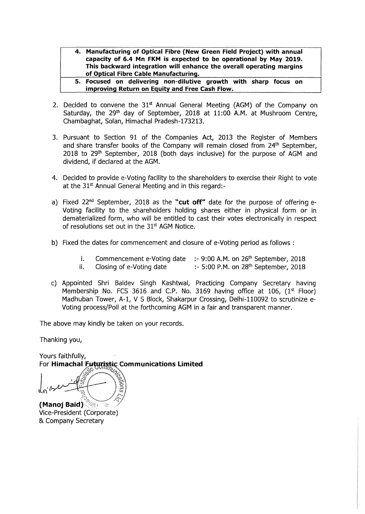- **4. Manufacturing of Optical Fibre (New Green Field Project) with annual capacity of 6.4 Mn FKM is expected to be operational by May 2019. This backward integration will enhance the overall operating margins of Optical Fibre Cable Manufacturing.**
- **5. Focused on delivering non-dilutive growth with sharp focus on improving Return on Equity and Free Cash Flow.**
- 2. Decided to convene the  $31<sup>st</sup>$  Annual General Meeting (AGM) of the Company on Saturday, the 29<sup>th</sup> day of September, 2018 at 11:00 A.M. at Mushroom Centre, Chambaghat, Solan, Himachal Pradesh-173213.
- 3. Pursuant to Section 91 of the Companies Act, 2013 the Register of Members and share transfer books of the Company will remain closed from 24<sup>th</sup> September, 2018 to 29<sup>th</sup> September, 2018 (both days inclusive) for the purpose of AGM and dividend, if declared at the AGM.
- 4. Decided to provide e-Voting facility to the shareholders to exercise their Right to vote at the 31<sup>st</sup> Annual General Meeting and in this regard:-
- a) Fixed 22<sup>nd</sup> September, 2018 as the "cut off" date for the purpose of offering e-Voting facility to the shareholders holding shares either in physical form or in dematerialized form, who will be entitled to cast their votes electronically in respect of resolutions set out in the 31<sup>st</sup> AGM Notice.
- b) Fixed the dates for commencement and closure of e-Voting period as follows :
	- i. Commencement e-Voting date  $\therefore$  9:00 A.M. on 26<sup>th</sup> September, 2018
	- ii. Closing of e-Voting date  $\therefore$  5:00 P.M. on 28<sup>th</sup> September, 2018
- c) Appointed Shri Baldev Singh Kashtwal, Practicing Company Secretary having Membership No. FCS 3616 and C.P. No. 3169 having office at 106,  $(1<sup>st</sup>$  Floor) Madhuban Tower, A-1, V S Block, Shakarpur Crossing, Delhi-110092 to scrutinize e-Voting process/Poll at the forthcoming AGM in a fair and transparent manner.

The above may kindly be taken on your records.

Thanking you,

Yours faithfully, For Himachal Futuristic Communications Limited

**(Manoj Baid)** 

Vice-President (Corporate) & Company Secretary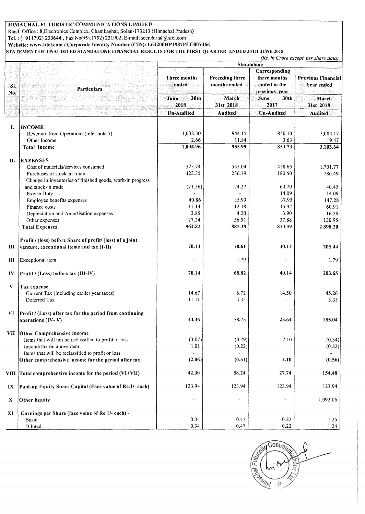#### HIMACHAL FUTURISTIC COMMUNICATIONS LIMITED

 Regd. Office : 8,Electronics Complex, Chambaghat, Solan-173213 (Himachal Pradesh) Tel.: (+911792) 230644, Fax No(+9ll792) 231902, E-mail: secretarial@hfcl.com

Website: www.hfcl.com / Corporate Identity Number (CIN): L64200HP1987PLC007466

STATEMENT OF UNAUDITED STANDALONE FINANCIAL RESULTS FOR THE FIRST QUARTER ENDED 30TH JUNE 2018

*(Rs. in Crore except per share data)* 

|            | Particulars                                               | <b>Standalone</b>     |                                 |                                                                |                                         |  |
|------------|-----------------------------------------------------------|-----------------------|---------------------------------|----------------------------------------------------------------|-----------------------------------------|--|
| SI.<br>No. |                                                           | Three months<br>ended | Preceding three<br>months ended | Corresponding<br>three months<br>ended in the<br>previous year | <b>Previous Financial</b><br>Year ended |  |
|            |                                                           | 30th<br>June<br>2018  | March<br>31st 2018              | June<br>30th<br>2017                                           | March<br>31st 2018                      |  |
|            |                                                           | Un-Audited            | Audited                         | Un-Audited                                                     | <b>Audited</b>                          |  |
| I.         | <b>INCOME</b>                                             |                       |                                 |                                                                |                                         |  |
|            | Revenue from Operations (refer note 5)                    | 1,032.30              | 944.15                          | 850.10                                                         | 3,084.17                                |  |
|            | Other Income                                              | 2.66                  | 11.84                           | 3.63                                                           | 19.47                                   |  |
|            | <b>Total Income</b>                                       | 1,034.96              | 955.99                          | 853.73                                                         | 3,103.64                                |  |
| II.        | <b>EXPENSES</b>                                           |                       |                                 |                                                                |                                         |  |
|            | Cost of materials/services consumed                       | 525.74                | 535.04                          | 458.65                                                         | 1,701.77                                |  |
|            | Purchases of stock-in-trade                               | 423.35                | 236.79                          | 180.50                                                         | 786.49                                  |  |
|            | Change in inventories of finished goods, work-in progress |                       |                                 |                                                                |                                         |  |
|            | and stock-in trade                                        | (71.36)               | 24.27                           | 64.70                                                          | 40.45                                   |  |
|            | <b>Excise Duty</b>                                        |                       |                                 | 14.09                                                          | 14.09                                   |  |
|            | Employee benefits expenses                                | 40.86                 | 35.99                           | 37.95                                                          | 147.28                                  |  |
|            | Finance costs                                             | 15.14                 | 12.18                           | 15.92                                                          | 60.91                                   |  |
|            | Depreciation and Amortisation expenses                    | 3.85                  | 4.20                            | 3.90                                                           | 16.26                                   |  |
|            | Other expenses                                            | 27.24                 | 36.91                           | 37.88                                                          | 130.95                                  |  |
|            | <b>Total Expenses</b>                                     | 964.82                | 885.38                          | 813.59                                                         | 2,898.20                                |  |
|            | Profit / (loss) before Share of profit/ (loss) of a joint |                       |                                 |                                                                |                                         |  |
| Ш          | venture, exceptional items and tax (I-II)                 | 70.14                 | 70.61                           | 40.14                                                          | 205.44                                  |  |
| Ш          | Exceptional item                                          | $\tilde{\phantom{a}}$ | 1.79                            |                                                                | 1.79                                    |  |
| $\bf{IV}$  | Profit / (Loss) before tax (III-IV)                       | 70.14                 | 68.82                           | 40.14                                                          | 203.65                                  |  |
| V          | Tax expense                                               |                       |                                 |                                                                |                                         |  |
|            | Current Tax (including earlier year taxes)                | 14.67                 | 6.72                            | 14.50                                                          | 45.26                                   |  |
|            | Deferred Tax                                              | 11.11                 | 3.35                            |                                                                | 3.35                                    |  |
| VI.        | Profit / (Loss) after tax for the period from continuing  |                       |                                 |                                                                |                                         |  |
|            | operations (IV-V)                                         | 44.36                 | 58.75                           | 25.64                                                          | 155.04                                  |  |
|            | <b>VII</b> Other Comprehensive Income                     |                       |                                 |                                                                |                                         |  |
|            | Items that will not be reclassified to profit or loss     | (3.07)                | (0.29)                          | 2.10                                                           | (0.34)                                  |  |
|            | Income tax on above item                                  | 1.01                  | (0.22)                          |                                                                | (0.22)                                  |  |
|            | Items that will be reclassified to profit or loss         |                       |                                 |                                                                |                                         |  |
|            | Other comprehensive income for the period after tax       | (2.06)                | (0.51)                          | 2.10                                                           | (0.56)                                  |  |
| VIII       | Total comprehensive income for the period (VI+VII)        | 42.30                 | 58.24                           | 27.74                                                          | 154.48                                  |  |
| IX         | Paid-up Equity Share Capital (Face value of Re.1/- each)  | 123.94                | 123.94                          | 123.94                                                         | 123.94                                  |  |
| X          | <b>Other Equity</b>                                       |                       | ٠                               | $\blacksquare$                                                 | 1,092.06                                |  |
| XI         | Earnings per Share (face value of Re 1/- each) -          |                       |                                 |                                                                |                                         |  |
|            | <b>Basic</b>                                              | 0.34                  | 0.47                            | 0.22                                                           | 1.25                                    |  |
|            | Diluted                                                   | 0.34                  | 0.47                            | 0.22                                                           | 1.24                                    |  |

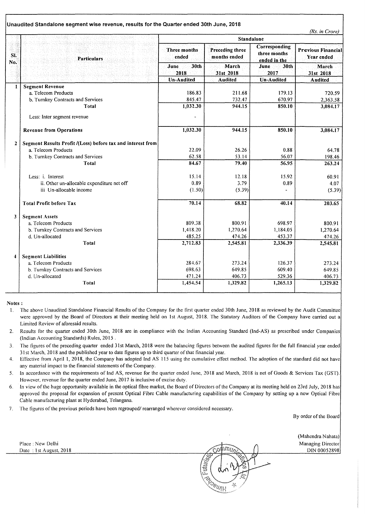|              | Unaudited Standalone segment wise revenue, results for the Quarter ended 30th June, 2018 |                                               |                                                              |                                                                       | (Rs. in Crore)                                                |
|--------------|------------------------------------------------------------------------------------------|-----------------------------------------------|--------------------------------------------------------------|-----------------------------------------------------------------------|---------------------------------------------------------------|
|              |                                                                                          |                                               | <b>Standalone</b>                                            |                                                                       |                                                               |
| SI.<br>No.   | Particulars                                                                              | Three months<br>ended<br>30th<br>June<br>2018 | <b>Preceding three</b><br>months ended<br>March<br>31st 2018 | Corresponding<br>three months<br>ended in the<br>June<br>30th<br>2017 | <b>Previous Financial</b><br>Year ended<br>March<br>31st 2018 |
|              |                                                                                          |                                               |                                                              |                                                                       |                                                               |
| $\mathbf{1}$ | <b>Segment Revenue</b>                                                                   |                                               |                                                              |                                                                       |                                                               |
|              | a. Telecom Products                                                                      | 186.83                                        | 211.68                                                       | 179.13                                                                | 720.59                                                        |
|              | b. Turnkey Contracts and Services                                                        | 845.47                                        | 732.47                                                       | 670.97                                                                | 2,363.58                                                      |
|              | Total                                                                                    | 1,032.30                                      | 944.15                                                       | 850.10                                                                | 3,084.17                                                      |
|              | Less: Inter segment revenue                                                              |                                               |                                                              |                                                                       |                                                               |
|              | <b>Revenue from Operations</b>                                                           | 1,032.30                                      | 944.15                                                       | 850.10                                                                | 3,084.17                                                      |
| $\mathbf{z}$ | Segment Results Profit /(Loss) before tax and interest from                              |                                               |                                                              |                                                                       |                                                               |
|              | a. Telecom Products                                                                      | 22.09                                         | 26.26                                                        | 0.88                                                                  | 64.78                                                         |
|              | b. Turnkey Contracts and Services                                                        | 62.58                                         | 53.14                                                        | 56.07                                                                 | 198.46                                                        |
|              | <b>Total</b>                                                                             | 84.67                                         | 79.40                                                        | 56.95                                                                 | 263.24                                                        |
|              | Less: i. Interest                                                                        | 15.14                                         | 12.18                                                        | 15.92                                                                 | 60.91                                                         |
|              | ii. Other un-allocable expenditure net off                                               | 0.89                                          | 3.79                                                         | 0.89                                                                  | 4.07                                                          |
|              | iii Un-allocable income                                                                  | (1.50)                                        | (5.39)                                                       |                                                                       | (5.39)                                                        |
|              | <b>Total Profit before Tax</b>                                                           | 70.14                                         | 68.82                                                        | 40.14                                                                 | 203.65                                                        |
| 3            | <b>Segment Assets</b>                                                                    |                                               |                                                              |                                                                       |                                                               |
|              | a. Telecom Products                                                                      | 809.38                                        | 800.91                                                       | 698.97                                                                | 800.91                                                        |
|              | b. Turnkey Contracts and Services                                                        | 1,418.20                                      | 1,270.64                                                     | 1,184.05                                                              | 1,270.64                                                      |
|              | d. Un-allocated                                                                          | 485.25                                        | 474.26                                                       | 453.37                                                                | 474.26                                                        |
|              | <b>Total</b>                                                                             | 2,712.83                                      | 2,545.81                                                     | 2,336.39                                                              | 2,545.81                                                      |
| 4            | <b>Segment Liabilities</b>                                                               |                                               |                                                              |                                                                       |                                                               |
|              | a. Telecom Products                                                                      | 284.67                                        | 273.24                                                       | 126.37                                                                | 273.24                                                        |
|              | b. Turnkey Contracts and Services                                                        | 698.63                                        | 649.85                                                       | 609.40                                                                | 649.85                                                        |
|              | d. Un-allocated                                                                          | 471.24                                        | 406.73                                                       | 529.36                                                                | 406.73                                                        |
|              | <b>Total</b>                                                                             | 1,454.54                                      | 1,329.82                                                     | 1,265.13                                                              | 1,329.82                                                      |

Notes:

1. The above Unaudited Standalone Financial Results of the Company for the first quarter ended 30th June, 2018 as reviewed by the Audit Committee were approved by the Board of Directors at their meeting held on 1st August, 2018. The Statutory Auditors of the Company have carried out a Limited Review of aforesaid results.

2. Results for the quarter ended 30th June, 2018 are in compliance with the Indian Accounting Standard (Ind-AS) as prescribed under Companies (Indian Accounting Standards) Rules, 2015 .

3. The figures of the preceding quarter ended 31st March, 2018 were the balancing figures between the audited figures for the full financial year ended 31st March, 20 18 and the published year to date figures up to third quarter of that tinancial year.

- 4. Effective from April 1, 2018, the Company has adopted Ind AS 115 using the cumulative effect method. The adoption of the standard did not have any material impact to the financial statements of the Company.
- 5. In accordance with the requirements of Ind AS, revenue for the quarter ended June, 2018 and March, 2018 is net of Goods & Services Tax (GST). However, revenue for the quarter ended June, 2017 is inclusive of excise duty.
- 6. In view of the huge opportunity available in the optical fibre market, the Board of Directors of the Company at its meeting held on 23rd July, 2018 has approved the proposal for expansion of present Optical Fibre Cable manufacturing capabilities of the Company by setting up a new Optical Fibre Cable manufacturing plant at Hyderabad, Telangana
- 7\_ The tigures of the previous periods have been regrouped/ rearranged wherever considered necessary.

By order of the Board

(Mahendra Nahata)

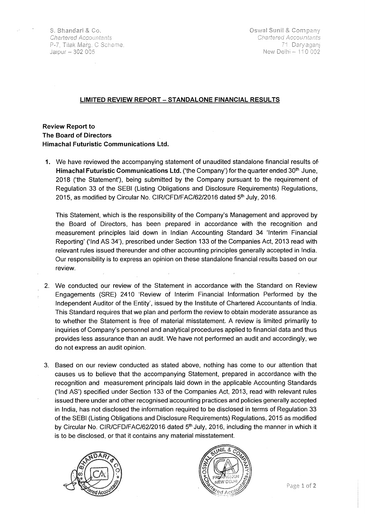S. Bhandari & Co. **Chartered Accountants** P-7, Tilak Marg, C Scheme, Jaiour - 302 005

Oswal Sunil & Company Chartered Accountants 71. Daryagani New Delhi - 110 002

#### **LIMITED REVIEW REPORT- STANDALONE FINANCIAL RESULTS**

**Review Report to The Board of Directors Himachal Futuristic Communications Ltd.** 

**1.** We have reviewed the accompanying statement of unaudited standalone financial results of **Himachal Futuristic Communications Ltd.** ('the Company') for the quarter ended 30<sup>th</sup> June, 2018 ('the Statement'), being submitted by the Company pursuant to the requirement of Regulation 33 of the SEBI (Listing Obligations and Disclosure Requirements) Regulations, 2015, as modified by Circular No. CIR/CFD/FAC/62/2016 dated 5<sup>th</sup> July, 2016.

This Statement, which is the responsibility of the Company's Management and approved by the Board of Directors, has been prepared in accordance with the recognition and measurement principles laid down in Indian Accounting Standard 34 'Interim Financial Reporting' ('lnd AS 34'}, prescribed under Section 133 of the Companies Act, 2013 read with relevant rules issued thereunder and other accounting principles generally accepted in India. Our responsibility is to express an opinion on these standalone financial results based on our review.

- 2. We conducted our review of the Statement in accordance with the Standard on Review Engagements (SRE) 2410 'Review of Interim Financial Information Performed by the Independent Auditor of the Entity', issued by the Institute of Chartered Accountants of India. This Standard requires that we plan and perform the review to obtain moderate assurance as to whether the Statement is free of material misstatement. A review is limited primarily to inquiries of Company's personnel and analytical procedures applied to financial data and thus provides less assurance than an audit. We have not performed an audit and accordingly, we do not express an audit opinion.
- 3. Based on our review conducted as stated above, nothing has come to our attention that causes us to believe that the accompanying Statement, prepared in accordance with the recognition and measurement principals laid down in the applicable Accounting Standards ('lnd AS') specified under Section 133 of the Companies Act, 2013, read with relevant rules issued there under and other recognised accounting practices arid policies generally accepted in India, has not disclosed the information required to be disclosed in terms of Regulation 33 of the SEBI (Listing Obligations and Disclosure Requirements) Regulations, 2015 as modified by Circular No. CIR/CFD/FAC/62/2016 dated 5<sup>th</sup> July, 2016, including the manner in which it is to be disclosed, or that it contains any material misstatement.